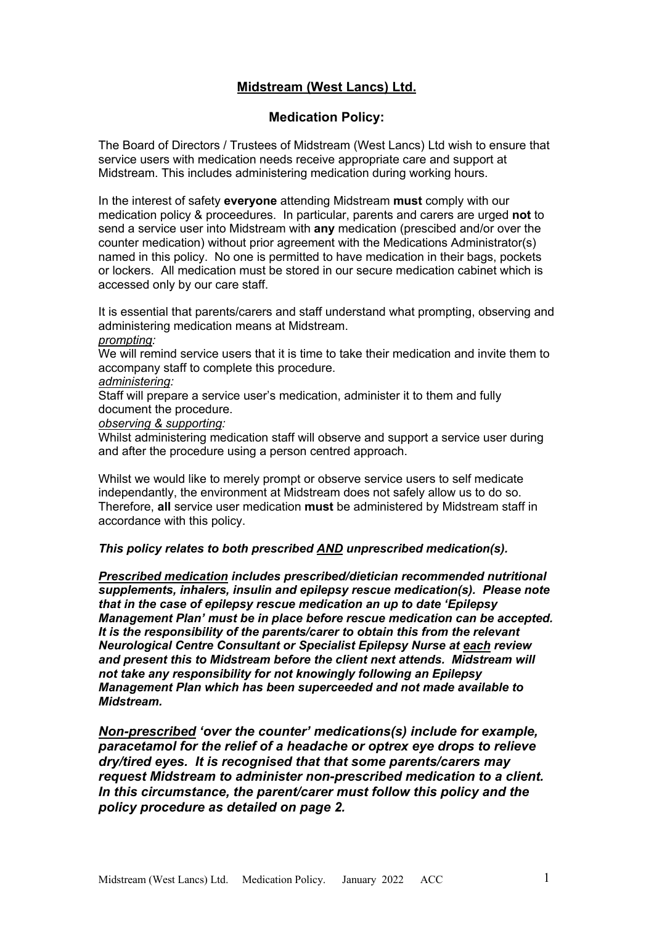# **Midstream (West Lancs) Ltd.**

#### **Medication Policy:**

The Board of Directors / Trustees of Midstream (West Lancs) Ltd wish to ensure that service users with medication needs receive appropriate care and support at Midstream. This includes administering medication during working hours.

In the interest of safety **everyone** attending Midstream **must** comply with our medication policy & proceedures. In particular, parents and carers are urged **not** to send a service user into Midstream with **any** medication (prescibed and/or over the counter medication) without prior agreement with the Medications Administrator(s) named in this policy. No one is permitted to have medication in their bags, pockets or lockers. All medication must be stored in our secure medication cabinet which is accessed only by our care staff.

It is essential that parents/carers and staff understand what prompting, observing and administering medication means at Midstream.

#### *prompting:*

We will remind service users that it is time to take their medication and invite them to accompany staff to complete this procedure.

#### *administering:*

Staff will prepare a service user's medication, administer it to them and fully document the procedure.

*observing & supporting:* 

Whilst administering medication staff will observe and support a service user during and after the procedure using a person centred approach.

Whilst we would like to merely prompt or observe service users to self medicate independantly, the environment at Midstream does not safely allow us to do so. Therefore, **all** service user medication **must** be administered by Midstream staff in accordance with this policy.

#### *This policy relates to both prescribed AND unprescribed medication(s).*

*Prescribed medication includes prescribed/dietician recommended nutritional supplements, inhalers, insulin and epilepsy rescue medication(s). Please note that in the case of epilepsy rescue medication an up to date 'Epilepsy Management Plan' must be in place before rescue medication can be accepted. It is the responsibility of the parents/carer to obtain this from the relevant Neurological Centre Consultant or Specialist Epilepsy Nurse at each review and present this to Midstream before the client next attends. Midstream will not take any responsibility for not knowingly following an Epilepsy Management Plan which has been superceeded and not made available to Midstream.*

*Non-prescribed 'over the counter' medications(s) include for example, paracetamol for the relief of a headache or optrex eye drops to relieve dry/tired eyes. It is recognised that that some parents/carers may request Midstream to administer non-prescribed medication to a client. In this circumstance, the parent/carer must follow this policy and the policy procedure as detailed on page 2.*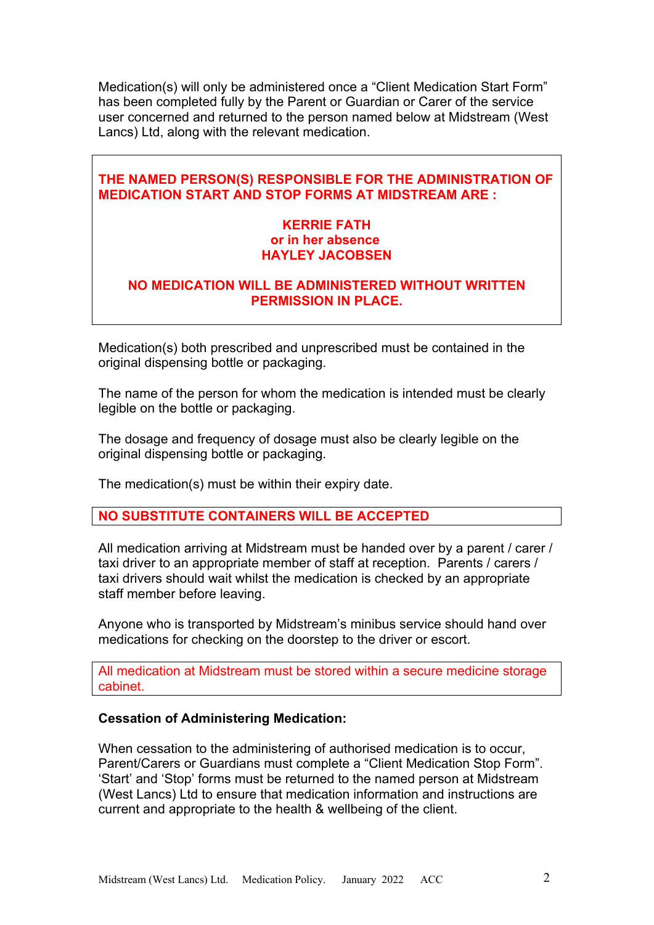Medication(s) will only be administered once a "Client Medication Start Form" has been completed fully by the Parent or Guardian or Carer of the service user concerned and returned to the person named below at Midstream (West Lancs) Ltd, along with the relevant medication.

# **THE NAMED PERSON(S) RESPONSIBLE FOR THE ADMINISTRATION OF MEDICATION START AND STOP FORMS AT MIDSTREAM ARE :**

# **KERRIE FATH or in her absence HAYLEY JACOBSEN**

# **NO MEDICATION WILL BE ADMINISTERED WITHOUT WRITTEN PERMISSION IN PLACE.**

Medication(s) both prescribed and unprescribed must be contained in the original dispensing bottle or packaging.

The name of the person for whom the medication is intended must be clearly legible on the bottle or packaging.

The dosage and frequency of dosage must also be clearly legible on the original dispensing bottle or packaging.

The medication(s) must be within their expiry date.

#### **NO SUBSTITUTE CONTAINERS WILL BE ACCEPTED**

All medication arriving at Midstream must be handed over by a parent / carer / taxi driver to an appropriate member of staff at reception. Parents / carers / taxi drivers should wait whilst the medication is checked by an appropriate staff member before leaving.

Anyone who is transported by Midstream's minibus service should hand over medications for checking on the doorstep to the driver or escort.

All medication at Midstream must be stored within a secure medicine storage cabinet.

#### **Cessation of Administering Medication:**

When cessation to the administering of authorised medication is to occur, Parent/Carers or Guardians must complete a "Client Medication Stop Form". 'Start' and 'Stop' forms must be returned to the named person at Midstream (West Lancs) Ltd to ensure that medication information and instructions are current and appropriate to the health & wellbeing of the client.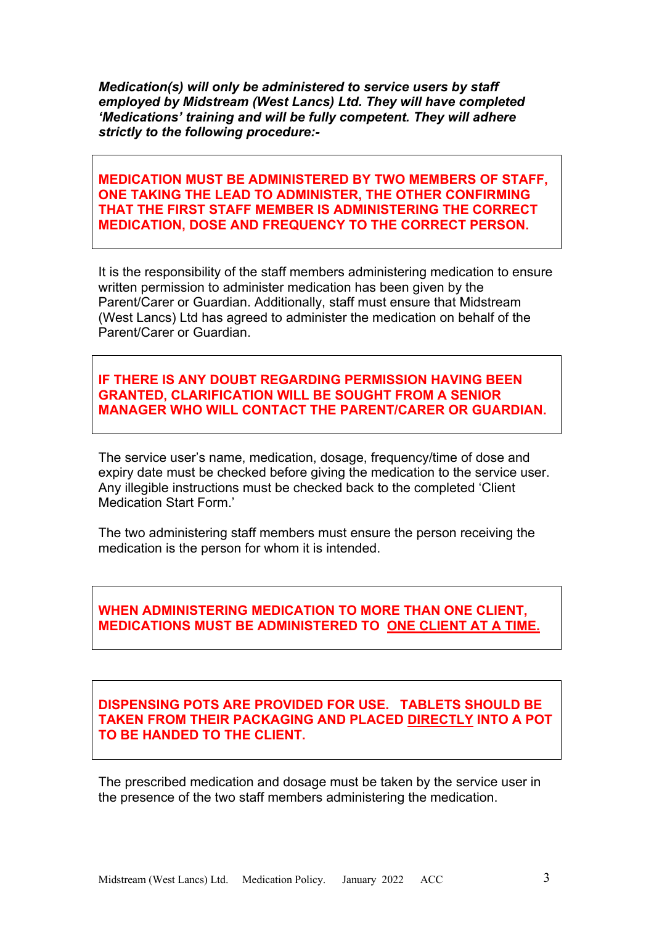*Medication(s) will only be administered to service users by staff employed by Midstream (West Lancs) Ltd. They will have completed 'Medications' training and will be fully competent. They will adhere strictly to the following procedure:-*

**MEDICATION MUST BE ADMINISTERED BY TWO MEMBERS OF STAFF, ONE TAKING THE LEAD TO ADMINISTER, THE OTHER CONFIRMING THAT THE FIRST STAFF MEMBER IS ADMINISTERING THE CORRECT MEDICATION, DOSE AND FREQUENCY TO THE CORRECT PERSON.**

It is the responsibility of the staff members administering medication to ensure written permission to administer medication has been given by the Parent/Carer or Guardian. Additionally, staff must ensure that Midstream (West Lancs) Ltd has agreed to administer the medication on behalf of the Parent/Carer or Guardian.

**IF THERE IS ANY DOUBT REGARDING PERMISSION HAVING BEEN GRANTED, CLARIFICATION WILL BE SOUGHT FROM A SENIOR MANAGER WHO WILL CONTACT THE PARENT/CARER OR GUARDIAN.**

The service user's name, medication, dosage, frequency/time of dose and expiry date must be checked before giving the medication to the service user. Any illegible instructions must be checked back to the completed 'Client Medication Start Form.'

The two administering staff members must ensure the person receiving the medication is the person for whom it is intended.

# **WHEN ADMINISTERING MEDICATION TO MORE THAN ONE CLIENT, MEDICATIONS MUST BE ADMINISTERED TO ONE CLIENT AT A TIME.**

# **DISPENSING POTS ARE PROVIDED FOR USE. TABLETS SHOULD BE TAKEN FROM THEIR PACKAGING AND PLACED DIRECTLY INTO A POT TO BE HANDED TO THE CLIENT.**

The prescribed medication and dosage must be taken by the service user in the presence of the two staff members administering the medication.